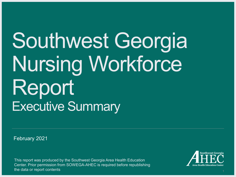## Southwest Georgia Nursing Workforce Report Executive Summary

February 2021

This report was produced by the Southwest Georgia Area Health Education Center. Prior permission from SOWEGA-AHEC is required before republishing the data or report contents

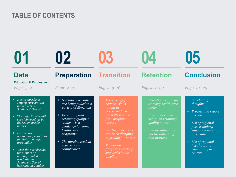### **TABLE OF CONTENTS**

| 02<br>01                                                                                                                                                                                                                                                                                                                                                                                           |                                                                                                                                                                                                                                                               | U.5                                                                                                                                                                                                                                                                    | $\blacksquare$                                                                                                                                                                                 | 05                                                                                                                                                                                                            |  |
|----------------------------------------------------------------------------------------------------------------------------------------------------------------------------------------------------------------------------------------------------------------------------------------------------------------------------------------------------------------------------------------------------|---------------------------------------------------------------------------------------------------------------------------------------------------------------------------------------------------------------------------------------------------------------|------------------------------------------------------------------------------------------------------------------------------------------------------------------------------------------------------------------------------------------------------------------------|------------------------------------------------------------------------------------------------------------------------------------------------------------------------------------------------|---------------------------------------------------------------------------------------------------------------------------------------------------------------------------------------------------------------|--|
| <b>Data</b><br><b>Education &amp; Employment</b><br>Pages $3-8$                                                                                                                                                                                                                                                                                                                                    | <b>Preparation</b><br>Pages $9-12$                                                                                                                                                                                                                            | <b>Transition</b><br>Pages 13-16                                                                                                                                                                                                                                       | <b>Retention</b><br>Pages 17-20                                                                                                                                                                | <b>Conclusion</b><br>Pages $21 - 25$                                                                                                                                                                          |  |
| + Health care firms<br>employ over 40,000<br><i>individuals in</i><br>Southwest Georgia<br>The majority of health<br>care job openings in<br>the region are for<br>nurses<br>+ Health care<br>occupation projections<br>for state and region<br>are similar<br>Over the past decade,<br>$+$<br>the number of<br>nursing-related<br><i>graduates in</i><br>Southwest Georgia<br>has remained stable | Nursing programs<br>$+$<br>are being pulled in a<br>variety of directions<br>Recruiting and<br>$\pm$<br>retaining qualified<br>students is a<br>challenge for some<br>health care<br>programs<br>The nursing student<br>$\pm$<br>experience is<br>complicated | + There is a gap<br>between skills<br>taught in<br>postsecondary and<br>the skills required<br>for workplace<br>success<br>+ Starting a new role<br>can be challenging,<br>especially for nurses<br>+ Transition<br>programs can help<br>stop leaks in the<br>pipeline | + Retention is vital for<br>a strong health care<br>sector<br>+ Incentives can be<br>helpful in retaining<br>quality nurses<br>But incentives are<br>$+$<br>not the only thing<br>that matters | + Concluding<br>thoughts<br>Process and report<br>overview<br>List of regional<br>$+$<br>postsecondary<br>education nursing<br>programs<br>+ List of regional<br>hospitals and<br>community health<br>centers |  |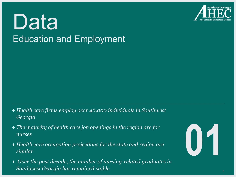

## Data Education and Employment

- + *Health care firms employ over 40,000 individuals in Southwest Georgia*
- + *The majority of health care job openings in the region are for nurses*
- + *Health care occupation projections for the state and region are similar*
- + *Over the past decade, the number of nursing-related graduates in Southwest Georgia has remained stable*

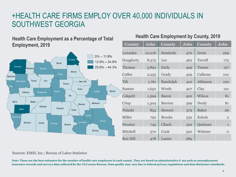## +HEALTH CARE FIRMS EMPLOY OVER 40,000 INDIVIDUALS IN SOUTHWEST GEORGIA

#### **Health Care Employment as a Percentage of Total Employment, 2019**



#### **Health Care Employment by County, 2019**

| <b>County</b>   | <b>Jobs</b> | <b>County</b>  | <b>Jobs</b> | <b>County</b> | <b>Jobs</b>    |
|-----------------|-------------|----------------|-------------|---------------|----------------|
| Lowndes         | 10,076      | Seminole       | 470         | Irwin         | 229            |
| Dougherty       | 8,375       | Lee            | 462         | Terrell       | 173            |
| <b>Thomas</b>   | 3,892       | Early          | 429         | Turner        | 157            |
| Coffee          | 2,255       | Grady          | 429         | Calhoun       | 102            |
| Tift            | 1,761       | Randolph       | 410         | Atkinson      | 102            |
| Sumter          | 1,650       | Worth          | 407         | Clay          | 101            |
| Colquitt        | 1,399       | <b>Bacon</b>   | 402         | Wilcox        | 81             |
| Crisp           | 1,304       | <b>Berrien</b> | 399         | Dooly         | 81             |
| Pulaski         | 853         | <b>Stewart</b> | 379         | <b>Baker</b>  | 26             |
| Miller          | 792         | <b>Brooks</b>  | 332         | Echols        | $\overline{2}$ |
| Decatur         | 745         | Clinch         | 322         | Quitman       | $\mathbf{1}$   |
| Mitchell        | 570         | Cook           | 320         | Webster       | $\Omega$       |
| <b>Ben Hill</b> | 478         | Lanier         | 289         |               |                |

#### Sources: EMSI, Inc.; Bureau of Labor Statistics

**Note: These are the best estimates for the number of health care employees in each county. They are based on administrative d ata such as unemployment insurance records and surveys data collected by the US Census Bureau. Data quality may vary due to federal privacy regulations and data disclosure standards.**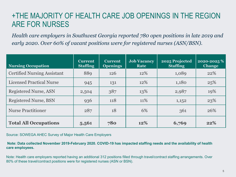## +THE MAJORITY OF HEALTH CARE JOB OPENINGS IN THE REGION ARE FOR NURSES

*Health care employers in Southwest Georgia reported 780 open positions in late 2019 and early 2020. Over 60% of vacant positions were for registered nurses (ASN/BSN).*

| <b>Nursing Occupation</b>          | <b>Current</b><br><b>Staffing</b> | <b>Current</b><br><b>Openings</b> | <b>Job Vacancy</b><br>Rate | 2025 Projected<br><b>Staffing</b> | 2020-2025 %<br><b>Change</b> |
|------------------------------------|-----------------------------------|-----------------------------------|----------------------------|-----------------------------------|------------------------------|
| <b>Certified Nursing Assistant</b> | 889                               | <b>126</b>                        | 12%                        | 1,089                             | 22%                          |
| <b>Licensed Practical Nurse</b>    | 945                               | 131                               | 12\%                       | 1,180                             | 25%                          |
| Registered Nurse, ASN              | 2,504                             | 387                               | 13%                        | 2,987                             | 19%                          |
| <b>Registered Nurse, BSN</b>       | 936                               | 118                               | 11%                        | 1,152                             | 23%                          |
| <b>Nurse Practitioner</b>          | 287                               | 18                                | 6%                         | 361                               | 26%                          |
| <b>Total All Occupations</b>       | 5,561                             | 780                               | 12%                        | 6,769                             | 22%                          |

Source: SOWEGA AHEC Survey of Major Health Care Employers

**Note: Data collected November 2019-February 2020. COVID-19 has impacted staffing needs and the availability of health care employees.** 

Note: Health care employers reported having an additional 312 positions filled through travel/contract staffing arrangements. Over 80% of these travel/contract positions were for registered nurses (ASN or BSN).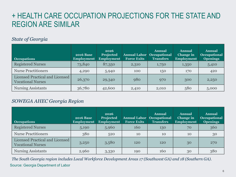## + HEALTH CARE OCCUPATION PROJECTIONS FOR THE STATE AND REGION ARE SIMILAR

#### *State of Georgia*

| <b>Occupations</b>                                          | <b>2016 Base</b><br><b>Employment</b> | 2026<br>Projected<br><b>Employment</b> | <b>Annual Labor</b><br><b>Force Exits</b> | <b>Annual</b><br>Occupational<br><b>Transfers</b> | Annual<br><b>Change in</b><br><b>Employment</b> | <b>Annual</b><br><b>Occupational</b><br><b>Openings</b> |
|-------------------------------------------------------------|---------------------------------------|----------------------------------------|-------------------------------------------|---------------------------------------------------|-------------------------------------------------|---------------------------------------------------------|
| <b>Registered Nurses</b>                                    | 73,840                                | 87,350                                 | 2,310                                     | 1,750                                             | 1,350                                           | 5,410                                                   |
| <b>Nurse Practitioners</b>                                  | 4,290                                 | 5,940                                  | 100                                       | 150                                               | 170                                             | 420                                                     |
| Licensed Practical and Licensed<br><b>Vocational Nurses</b> | 26,370                                | 29,340                                 | 980                                       | 970                                               | 300                                             | 2,250                                                   |
| <b>Nursing Assistants</b>                                   | 36,780                                | 42,600                                 | 2,410                                     | 2,010                                             | 580                                             | 5,000                                                   |

#### *SOWEGA AHEC Georgia Region*

| <b>Occupations</b>                                          | <b>2016 Base</b><br><b>Employment</b> | 2026<br>Projected<br><b>Employment</b> | <b>Annual Labor</b><br><b>Force Exits</b> | <b>Annual</b><br><b>Occupational</b><br><b>Transfers</b> | Annual<br><b>Change in</b><br><b>Employment</b> | <b>Annual</b><br><b>Occupational</b><br><b>Openings</b> |
|-------------------------------------------------------------|---------------------------------------|----------------------------------------|-------------------------------------------|----------------------------------------------------------|-------------------------------------------------|---------------------------------------------------------|
| <b>Registered Nurses</b>                                    | 5,190                                 | 5,960                                  | 160                                       | 130                                                      | 70                                              | 360                                                     |
| <b>Nurse Practitioners</b>                                  | 380                                   | 520                                    | 10                                        | 10                                                       | 10                                              | 30                                                      |
| Licensed Practical and Licensed<br><b>Vocational Nurses</b> | 3,250                                 | 3,580                                  | 120                                       | 120                                                      | 30                                              | 270                                                     |
| <b>Nursing Assistants</b>                                   | 2,960                                 | 3,330                                  | 190                                       | 160                                                      | 30                                              | 380                                                     |

*The South Georgia region includes Local Workforce Development Areas 17 (Southwest GA) and 18 (Southern GA).* Source: Georgia Department of Labor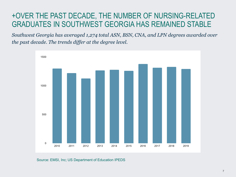## +OVER THE PAST DECADE, THE NUMBER OF NURSING-RELATED GRADUATES IN SOUTHWEST GEORGIA HAS REMAINED STABLE

*Southwest Georgia has averaged 1,274 total ASN, BSN, CNA, and LPN degrees awarded over the past decade. The trends differ at the degree level.*



Source: EMSI, Inc; US Department of Education IPEDS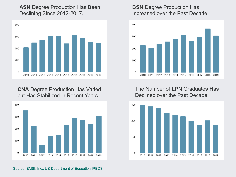#### **ASN** Degree Production Has Been Declining Since 2012-2017.



**CNA** Degree Production Has Varied but Has Stabilized in Recent Years.



#### **BSN** Degree Production Has Increased over the Past Decade.



The Number of **LPN** Graduates Has Declined over the Past Decade.



Source: EMSI, Inc.; US Department of Education IPEDS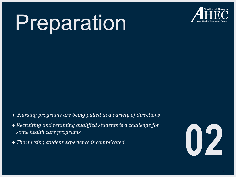# Preparation



- + *Nursing programs are being pulled in a variety of directions*
- + *Recruiting and retaining qualified students is a challenge for some health care programs*  Figure 1.1 The nursing student experience is complicated **and the nursing student experience is complicated and the set of the set of the set of the set of the set of the set of the set of the set of the set of the set of**
- 

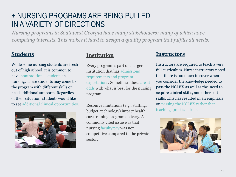## + NURSING PROGRAMS ARE BEING PULLED IN A VARIETY OF DIRECTIONS

*Nursing programs in Southwest Georgia have many stakeholders; many of which have competing interests. This makes it hard to design a quality program that fulfills all needs.*

#### **Students**

While some nursing students are fresh out of high school, it is common to have nontraditional students in nursing. These students may come to the program with different skills or need additional supports. Regardless of their situation, students would like to see additional clinical opportunities.



#### **Institution**

Every program is part of a larger institution that has admissions requirements and program expectations. Sometimes these are at odds with what is best for the nursing program.

Resource limitations (e.g., staffing, budget, technology) impact health care training program delivery. A commonly cited issue was that nursing faculty pay was not competitive compared to the private sector.

#### **Instructors**

Instructors are required to teach a very full curriculum. Nurse instructors noted that there is too much to cover when you consider the knowledge needed to pass the NCLEX as well as the need to acquire clinical skills, and other soft skills. This has resulted in an emphasis on passing the NCLEX rather than teaching practical skills.

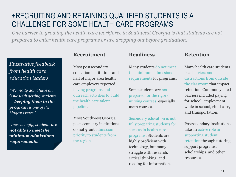## +RECRUITING AND RETAINING QUALIFIED STUDENTS IS A CHALLENGE FOR SOME HEALTH CARE PROGRAMS

*One barrier to growing the health care workforce in Southwest Georgia is that students are not prepared to enter health care programs or are dropping out before graduation.*

#### *Illustrative feedback from health care education leaders*

*"We really don't have an issue with getting students keeping them in the program is one of the biggest issues."*

*"Increasingly, students are not able to meet the minimum admissions requirements."*

#### **Recruitment**

Most postsecondary education institutions and half of major area health care employers reported having programs and outreach activities to build the health care talent pipeline.

Most Southwest Georgia postsecondary institutions do not grant admission priority to students from the region.

#### **Readiness**

Many students do not meet the minimum admissions requirements for programs.

Some students are not prepared for the rigor of nursing courses, especially math courses.

Secondary education is not fully preparing students for success in health care programs. Students are highly proficient with technology, but many struggle with research, critical thinking, and reading for information.

#### **Retention**

Many health care students face barriers and distractions from outside the classroom that impact retention. Commonly cited barriers included paying for school, employment while in school, child care, and transportation.

Postsecondary institutions take an active role in supporting student retention through tutoring, support programs, scholarships, and other resources.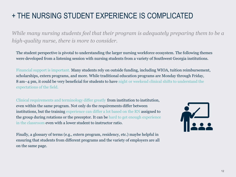## + THE NURSING STUDENT EXPERIENCE IS COMPLICATED

*While many nursing students feel that their program is adequately preparing them to be a high-quality nurse, there is more to consider.* 

The student perspective is pivotal to understanding the larger nursing workforce ecosystem. The following themes were developed from a listening session with nursing students from a variety of Southwest Georgia institutions.

Financial support is important. Many students rely on outside funding, including WIOA, tuition reimbursement, scholarships, extern programs, and more. While traditional education programs are Monday through Friday, 8 am−4 pm, it could be very beneficial for students to have night or weekend clinical shifts to understand the expectations of the field.

Clinical requirements and terminology differ greatly from institution to institution, even within the same program. Not only do the requirements differ between institutions, but the training experience can differ a lot based on the RN assigned to the group during rotations or the preceptor. It can be hard to get enough experience in the classroom even with a lower student to instructor ratio.



Finally, a glossary of terms (e.g., extern program, residency, etc.) maybe helpful in ensuring that students from different programs and the variety of employers are all on the same page.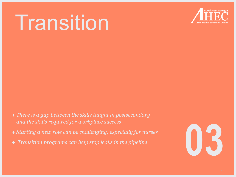## Transition



- + *There is a gap between the skills taught in postsecondary and the skills required for workplace success*
- + *Starting a new role can be challenging, especially for nurses*
- 

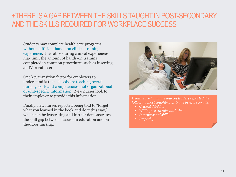### +THERE IS A GAP BETWEEN THE SKILLS TAUGHT IN POST-SECONDARY AND THE SKILLS REQUIRED FOR WORKPLACE SUCCESS

Students may complete health care programs without sufficient hands-on clinical training experience. The ratios during clinical experiences may limit the amount of hands-on training completed in common procedures such as inserting an IV or catheter.

One key transition factor for employers to understand is that schools are teaching overall nursing skills and competencies, not organizational or unit-specific information. New nurses look to their employer to provide this information.

Finally, new nurses reported being told to "forget what you learned in the book and do it this way," which can be frustrating and further demonstrates the skill gap between classroom education and onthe-floor nursing.



*Health care human resources leaders reported the following most sought-after traits in new recruits:* 

- *Critical thinking*
- *Willingness to take initiative*
- *Interpersonal skills*
- *Empathy*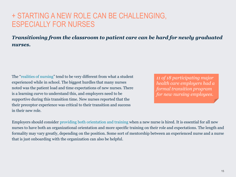### + STARTING A NEW ROLE CAN BE CHALLENGING, ESPECIALLY FOR NURSES

*Transitioning from the classroom to patient care can be hard for newly graduated nurses.* 

The "realities of nursing" tend to be very different from what a student experienced while in school. The biggest hurdles that many nurses noted was the patient load and time expectations of new nurses. There is a learning curve to understand this, and employers need to be supportive during this transition time. New nurses reported that the their preceptor experience was critical to their transition and success in their new role.

*11 of 18 participating major health care employers had a formal transition program for new nursing employees.*

Employers should consider providing both orientation and training when a new nurse is hired. It is essential for all new nurses to have both an organizational orientation and more specific training on their role and expectations. The length and formality may vary greatly, depending on the position. Some sort of mentorship between an experienced nurse and a nurse that is just onboarding with the organization can also be helpful.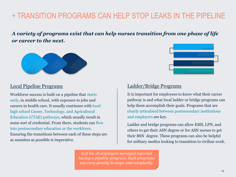## + TRANSITION PROGRAMS CAN HELP STOP LEAKS IN THE PIPELINE

*A variety of programs exist that can help nurses transition from one phase of life or career to the next.* 



#### Local Pipeline Programs

Workforce success is built on a pipeline that starts early, in middle school, with exposure to jobs and careers in health care. It usually continues with local high school Career, Technology, and Agricultural Education (CTAE) pathways, which usually result in some sort of credential. From there, students can flow into postsecondary education or the workforce. Ensuring the transitions between each of these steps are as seamless as possible is imperative.



#### Ladder/Bridge Programs

It is important for employees to know what their career pathway is and what local ladder or bridge programs can help them accomplish their goals. Programs that are clearly articulated between postsecondary institutions and employers are key.

Ladder and bridge programs can allow EMS, LPN, and others to get their ASN degree or for ASN nurses to get their BSN degree. These programs can also be helpful for military medics looking to transition to civilian work.

*9 of the 18 employers surveyed reported having a pipeline program. Such programs can vary greatly in scope and complexity.*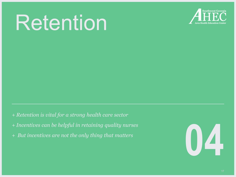## Retention



- + *Retention is vital for a strong health care sector*
- + *Incentives can be helpful in retaining quality nurses*
- 

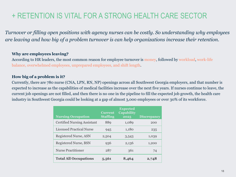## + RETENTION IS VITAL FOR A STRONG HEALTH CARE SECTOR

*Turnover or filling open positions with agency nurses can be costly. So understanding why employees are leaving and how big of a problem turnover is can help organizations increase their retention.* 

#### **Why are employees leaving?**

According to HR leaders, the most common reason for employee turnover is money, followed by workload, work-life balance, overwhelmed employees, unprepared employees, and shift length.

#### **How big of a problem is it?**

Currently, there are 780 nurse (CNA, LPN, RN, NP) openings across all Southwest Georgia employers, and that number is expected to increase as the capabilities of medical facilities increase over the next five years. If nurses continue to leave, the current job openings are not filled, and then there is no one in the pipeline to fill the expected job growth, the health care industry in Southwest Georgia could be looking at a gap of almost 3,000 employees or over 30% of its workforce.

| <b>Nursing Occupation</b>          | <b>Current</b><br><b>Staffing</b> | <b>Expected</b><br><b>Capability</b><br>2025 | <b>Discrepancy</b> |
|------------------------------------|-----------------------------------|----------------------------------------------|--------------------|
| <b>Certified Nursing Assistant</b> | 889                               | 1,089                                        | 200                |
| <b>Licensed Practical Nurse</b>    | 945                               | 1,180                                        | 235                |
| Registered Nurse, ASN              | 2,504                             | 3,543                                        | 1,039              |
| Registered Nurse, BSN              | 936                               | 2,136                                        | 1,200              |
| <b>Nurse Practitioner</b>          | 287                               | 361                                          | 74                 |
| <b>Total All Occupations</b>       | 5,561                             | 8,464                                        | 2,748              |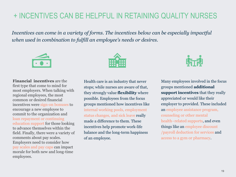## + INCENTIVES CAN BE HELPFUL IN RETAINING QUALITY NURSES

*Incentives can come in a variety of forms. The incentives below can be especially impactful when used in combination to fulfill an employee's needs or desires.* 



**Financial incentives** are the first type that come to mind for most employers. When talking with regional employees, the most common or desired financial incentives were sign-on bonuses to encourage a new employee to commit to the organization and loan repayment or continuing education support for those looking to advance themselves within the field. Finally, there were a variety of comments about pay scales. Employers need to consider how pay scales and pay caps can impact morale for both new and long-time employees.



Health care is an industry that never stops; while nurses are aware of that, they strongly value **flexibility** where possible. Employees from the focus groups mentioned how incentives like internal working pools, employment status changes, and sick leave really made a difference to them. These incentives help promote work-life balance and the long-term happiness of an employee.



Many employees involved in the focus groups mentioned **additional support incentives** that they really appreciated or would like their employer to provided. These included an employee assistance program, counseling or other mental health−related supports, and even things like an employee discount /payroll deduction for services and access to a gym or pharmacy.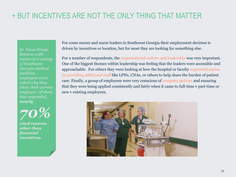## + BUT INCENTIVES ARE NOT THE ONLY THING THAT MATTER

*In Focus Group Sessions with nurses at a variety of Southwest Georgia medical facilities, employees were asked why they chose their current employer. Of those that responded, nearly* 



*cited reasons other than financial incentives.*

For some nurses and nurse leaders in Southwest Georgia their employment decision is driven by incentives or location, but for most they are looking for something else.

For a number of respondents, the organizational culture and leadership was very important. One of the biggest themes within leadership was feeling that the leaders were accessible and approachable. For others they were looking at how the hospital or faculty supported nurses by providing additional staff like LPNs, CNAs, or others to help share the burden of patient care. Finally, a group of employees were very conscious of company policies and ensuring that they were being applied consistently and fairly when it came to full-time v part-time or new v existing employees.

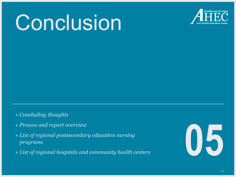## Conclusion



- + *Concluding thoughts*
- + *Process and report overview*
- + *List of regional postsecondary education nursing programs* <sup>+</sup> *List of regional hospitals and community health centers* **05**
- 

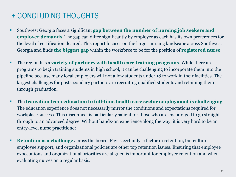## + CONCLUDING THOUGHTS

- Southwest Georgia faces a significant **gap between the number of nursing job seekers and employer demands**. The gap can differ significantly by employer as each has its own preferences for the level of certification desired. This report focuses on the larger nursing landscape across Southwest Georgia and finds **the biggest gap** within the workforce to be for the position of **registered nurse**.
- The region has a **variety of partners with health care training programs**. While there are programs to begin training students in high school, it can be challenging to incorporate them into the pipeline because many local employers will not allow students under 18 to work in their facilities. The largest challenges for postsecondary partners are recruiting qualified students and retaining them through graduation.
- The **transition from education to full-time health care sector employment is challenging**. The education experience does not necessarily mirror the conditions and expectations required for workplace success. This disconnect is particularly salient for those who are encouraged to go straight through to an advanced degree. Without hands-on experience along the way, it is very hard to be an entry-level nurse practitioner.
- **Retention is a challenge** across the board. Pay is certainly a factor in retention, but culture, employee support, and organizational policies are other top retention issues. Ensuring that employee expectations and organizational priorities are aligned is important for employee retention and when evaluating nurses on a regular basis.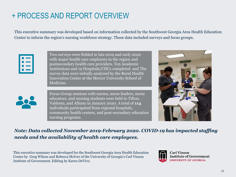## + PROCESS AND REPORT OVERVIEW

This executive summary was developed based on information collected by the Southwest Georgia Area Health Education Center to inform the region's nursing workforce strategy. These data included surveys and focus groups.

|  | <b>The Company</b> |
|--|--------------------|
|  | <b>The Common</b>  |
|  | . .                |
|  |                    |

Two surveys were fielded in late 2019 and early 2020 with major health care employers in the region and postsecondary health care providers. Ten Academic Institutions and 19 Hospitals/CHCs completed and The survey data were initially analyzed by the Rural Health Innovation Center at the Mercer University School of Medicine.



Focus Group sessions with nurses, nurse leaders, nurse educators, and nursing students were held in Tifton, Valdosta, and Albany in January 2020. A total of **114** individuals participated from regional hospitals, community health centers, and post-secondary education nursing programs.



*Note: Data collected November 2019-February 2020. COVID-19 has impacted staffing needs and the availability of health care employees.*

This executive summary was developed for the Southwest Georgia Area Health Education Center by Greg Wilson and Rebecca McIver of the University of Georgia's Carl Vinson Institute of Government. Editing by Karen DeVivo.

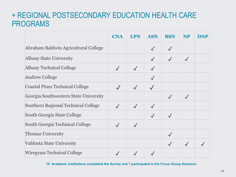### + REGIONAL POSTSECONDARY EDUCATION HEALTH CARE PROGRAMS

|                                        | <b>CNA</b>   | <b>LPN</b>   | <b>ASN</b>   | <b>BSN</b> | <b>NP</b>    | <b>DNP</b> |
|----------------------------------------|--------------|--------------|--------------|------------|--------------|------------|
| Abraham Baldwin Agricultural College   |              |              |              |            |              |            |
| <b>Albany State University</b>         |              |              |              |            | $\sqrt{}$    |            |
| <b>Albany Technical College</b>        | $\checkmark$ | $\checkmark$ |              |            |              |            |
| <b>Andrew College</b>                  |              |              |              |            |              |            |
| <b>Coastal Pines Technical College</b> |              | $\checkmark$ |              |            |              |            |
| Georgia Southwestern State University  |              |              |              |            | $\checkmark$ |            |
| Southern Regional Technical College    | $\checkmark$ | $\checkmark$ |              |            |              |            |
| South Georgia State College            |              |              | $\checkmark$ |            |              |            |
| South Georgia Technical College        |              | $\checkmark$ |              |            |              |            |
| <b>Thomas University</b>               |              |              |              |            |              |            |
| Valdosta State University              |              |              |              |            |              |            |
| <b>Wiregrass Technical College</b>     |              |              |              |            |              |            |

**10 Academic Institutions completed the Survey and 7 participated in the Focus Group Sessions**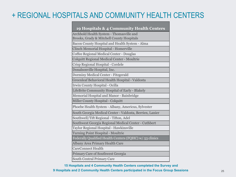## + REGIONAL HOSPITALS AND COMMUNITY HEALTH CENTERS

Archbold Health System - Thomasville and Brooks, Grady & Mitchell County Hospitals Bacon County Hospital and Health System - Alma Clinch Memorial Hospital - Homerville Coffee Regional Medical Center - Douglas Colquitt Regional Medical Center - Moultrie Crisp Regional Hospital - Cordele Donalsonville Hospital, Inc. Dorminy Medical Center - Fitzgerald Greenleaf Behavioral Health Hospital - Valdosta Irwin County Hospital - Ocilla LifeBrite Community Hospital of Early - Blakely Memorial Hospital and Manor - Bainbridge Miller County Hospital - Colquitt Phoebe Health System - Albany, Americus, Sylvester South Georgia Medical Center - Valdosta, Berrien, Lanier Southwell/Tift Regional - Tifton, Adel Southwest Georgia Regional Medical Center - Cuthbert Taylor Regional Hospital - Hawkinsville Turning Point Hospital - Moultrie Federally Qualified Health Centers (FQHC) w/ 53 clinics Albany Area Primary Health Care CareConnect Health Primary Care of Southwest Georgia South Central Primary Care

**15 Hospitals and 4 Community Health Centers completed the Survey and 9 Hospitals and 2 Community Health Centers participated in the Focus Group Sessions**